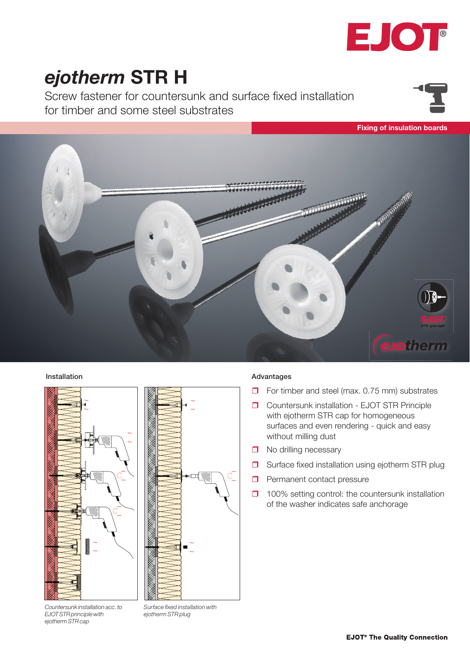

# *ejotherm* STR H

Screw fastener for countersunk and surface fixed installation for timber and some steel substrates





# Installation



*Countersunk installation acc. to EJOT STR principle with ejotherm STR cap*

Surface fixed installation with *ejotherm STR plug*

# Advantages

- $\Box$  For timber and steel (max. 0.75 mm) substrates
- **C** Countersunk installation EJOT STR Principle with ejotherm STR cap for homogeneous surfaces and even rendering - quick and easy without milling dust
- **D** No drilling necessary
- $\square$  Surface fixed installation using ejotherm STR plug
- $\Box$  Permanent contact pressure
- $\Box$  100% setting control: the countersunk installation of the washer indicates safe anchorage